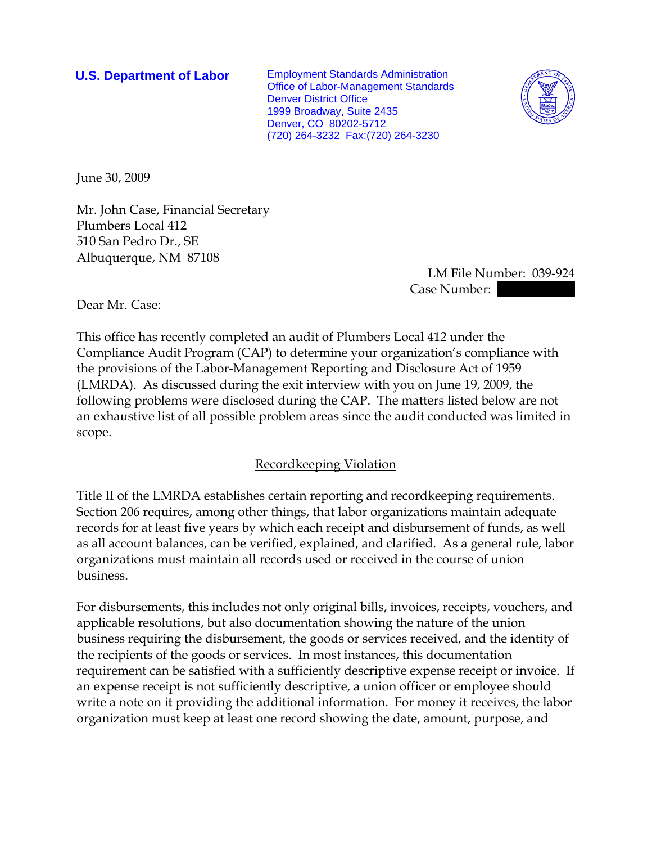**U.S. Department of Labor** Employment Standards Administration Office of Labor-Management Standards Denver District Office 1999 Broadway, Suite 2435 Denver, CO 80202-5712 (720) 264-3232 Fax:(720) 264-3230



June 30, 2009

Mr. John Case, Financial Secretary Plumbers Local 412 510 San Pedro Dr., SE Albuquerque, NM 87108

 LM File Number: 039-924 Case Number:  $\blacksquare$ 

Dear Mr. Case:

This office has recently completed an audit of Plumbers Local 412 under the Compliance Audit Program (CAP) to determine your organization's compliance with the provisions of the Labor-Management Reporting and Disclosure Act of 1959 (LMRDA). As discussed during the exit interview with you on June 19, 2009, the following problems were disclosed during the CAP. The matters listed below are not an exhaustive list of all possible problem areas since the audit conducted was limited in scope.

## Recordkeeping Violation

Title II of the LMRDA establishes certain reporting and recordkeeping requirements. Section 206 requires, among other things, that labor organizations maintain adequate records for at least five years by which each receipt and disbursement of funds, as well as all account balances, can be verified, explained, and clarified. As a general rule, labor organizations must maintain all records used or received in the course of union business.

For disbursements, this includes not only original bills, invoices, receipts, vouchers, and applicable resolutions, but also documentation showing the nature of the union business requiring the disbursement, the goods or services received, and the identity of the recipients of the goods or services. In most instances, this documentation requirement can be satisfied with a sufficiently descriptive expense receipt or invoice. If an expense receipt is not sufficiently descriptive, a union officer or employee should write a note on it providing the additional information. For money it receives, the labor organization must keep at least one record showing the date, amount, purpose, and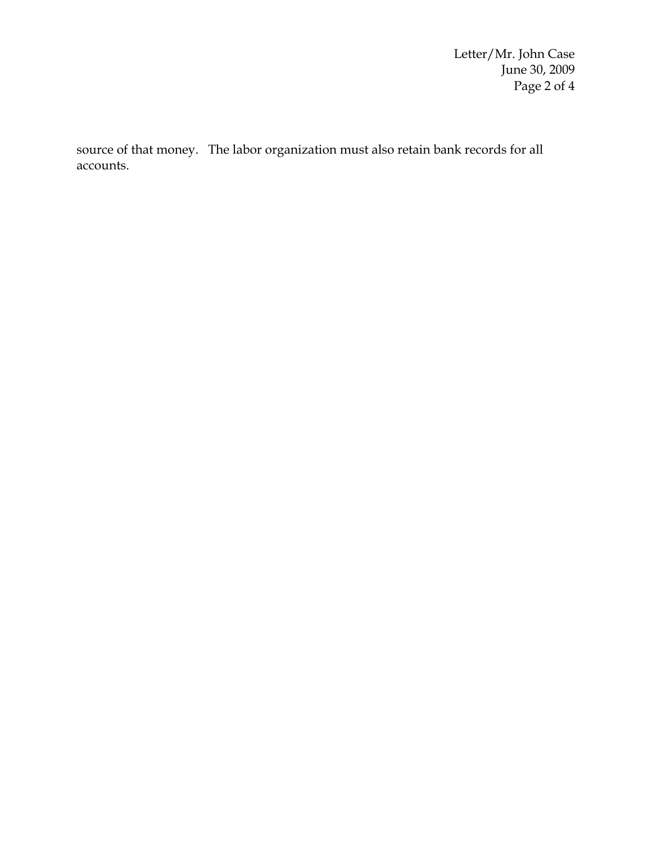Letter/Mr. John Case June 30, 2009 Page 2 of 4

source of that money. The labor organization must also retain bank records for all accounts.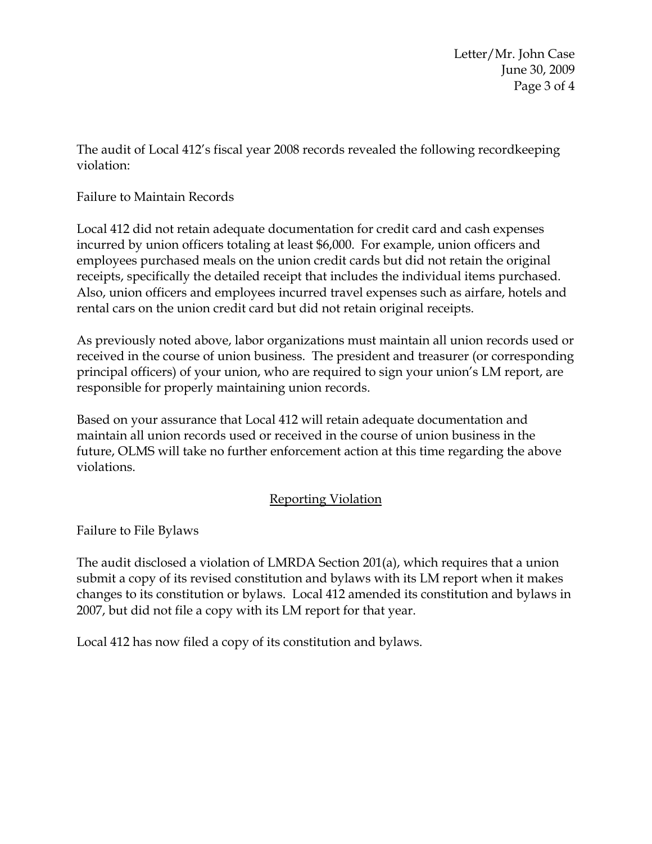Letter/Mr. John Case June 30, 2009 Page 3 of 4

The audit of Local 412's fiscal year 2008 records revealed the following recordkeeping violation:

Failure to Maintain Records

Local 412 did not retain adequate documentation for credit card and cash expenses incurred by union officers totaling at least \$6,000. For example, union officers and employees purchased meals on the union credit cards but did not retain the original receipts, specifically the detailed receipt that includes the individual items purchased. Also, union officers and employees incurred travel expenses such as airfare, hotels and rental cars on the union credit card but did not retain original receipts.

As previously noted above, labor organizations must maintain all union records used or received in the course of union business. The president and treasurer (or corresponding principal officers) of your union, who are required to sign your union's LM report, are responsible for properly maintaining union records.

Based on your assurance that Local 412 will retain adequate documentation and maintain all union records used or received in the course of union business in the future, OLMS will take no further enforcement action at this time regarding the above violations.

## Reporting Violation

Failure to File Bylaws

The audit disclosed a violation of LMRDA Section 201(a), which requires that a union submit a copy of its revised constitution and bylaws with its LM report when it makes changes to its constitution or bylaws. Local 412 amended its constitution and bylaws in 2007, but did not file a copy with its LM report for that year.

Local 412 has now filed a copy of its constitution and bylaws.